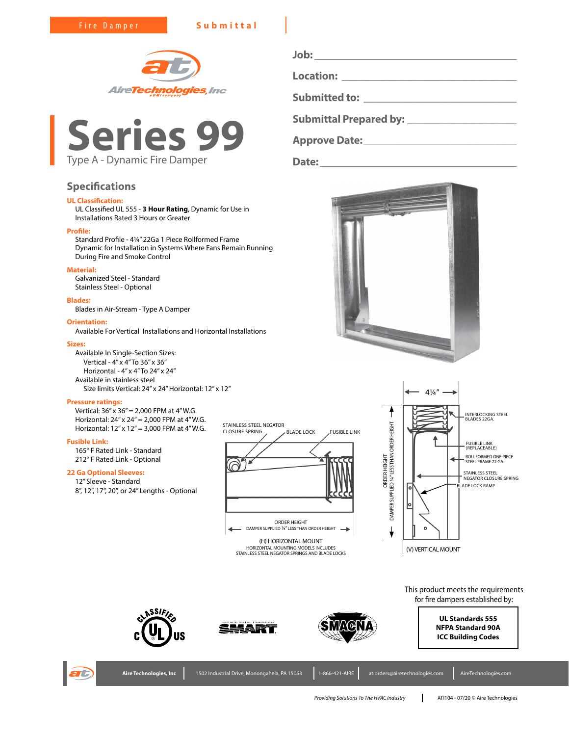Fire Damper **Submittal**





# **Specifications**

# **UL Classification:**

UL Classified UL 555 - **3 Hour Rating**, Dynamic for Use in Installations Rated 3 Hours or Greater

### **Profile:**

Standard Profile - 4¼" 22Ga 1 Piece Rollformed Frame Dynamic for Installation in Systems Where Fans Remain Running During Fire and Smoke Control

# **Material:**

Galvanized Steel - Standard Stainless Steel - Optional

### **Blades:**

Blades in Air-Stream - Type A Damper

# **Orientation:**

Available For Vertical Installations and Horizontal Installations

### **Sizes:**

Available In Single-Section Sizes: Vertical - 4" x 4" To 36" x 36" Horizontal - 4" x 4" To 24" x 24" Available in stainless steel Size limits Vertical: 24" x 24" Horizontal: 12" x 12"

### **Pressure ratings:**

Vertical: 36" x 36" = 2,000 FPM at 4" W.G. Horizontal: 24" x 24" = 2,000 FPM at 4" W.G. Horizontal: 12" x 12" = 3,000 FPM at 4" W.G.

## **Fusible Link:**

165° F Rated Link - Standard 212° F Rated Link - Optional

# **22 Ga Optional Sleeves:**

12" Sleeve - Standard 8", 12", 17", 20", or 24" Lengths - Optional



(H) HORIZONTAL MOUNT HORIZONTAL MOUNTING MODELS INCLUDES STAINLESS STEEL NEGATOR SPRINGS AND BLADE LOCKS

**Job: \_\_\_\_\_\_\_\_\_\_\_\_\_\_\_\_\_\_\_\_\_\_\_\_\_\_\_\_\_\_\_\_\_\_\_\_\_ Location: \_\_\_\_\_\_\_\_\_\_\_\_\_\_\_\_\_\_\_\_\_\_\_\_\_\_\_\_\_\_\_\_ Submitted to: \_\_\_\_\_\_\_\_\_\_\_\_\_\_\_\_\_\_\_\_\_\_\_\_\_\_\_\_ Submittal Prepared by: \_\_\_\_\_\_\_\_\_\_\_\_\_\_\_\_\_\_\_\_ Approve Date:\_\_\_\_\_\_\_\_\_\_\_\_\_\_\_\_\_\_\_\_\_\_\_\_\_\_\_\_**

**Date:\_\_\_\_\_\_\_\_\_\_\_\_\_\_\_\_\_\_\_\_\_\_\_\_\_\_\_\_\_\_\_\_\_\_\_\_**





This product meets the requirements for fire dampers established by:





**ASSIFI**